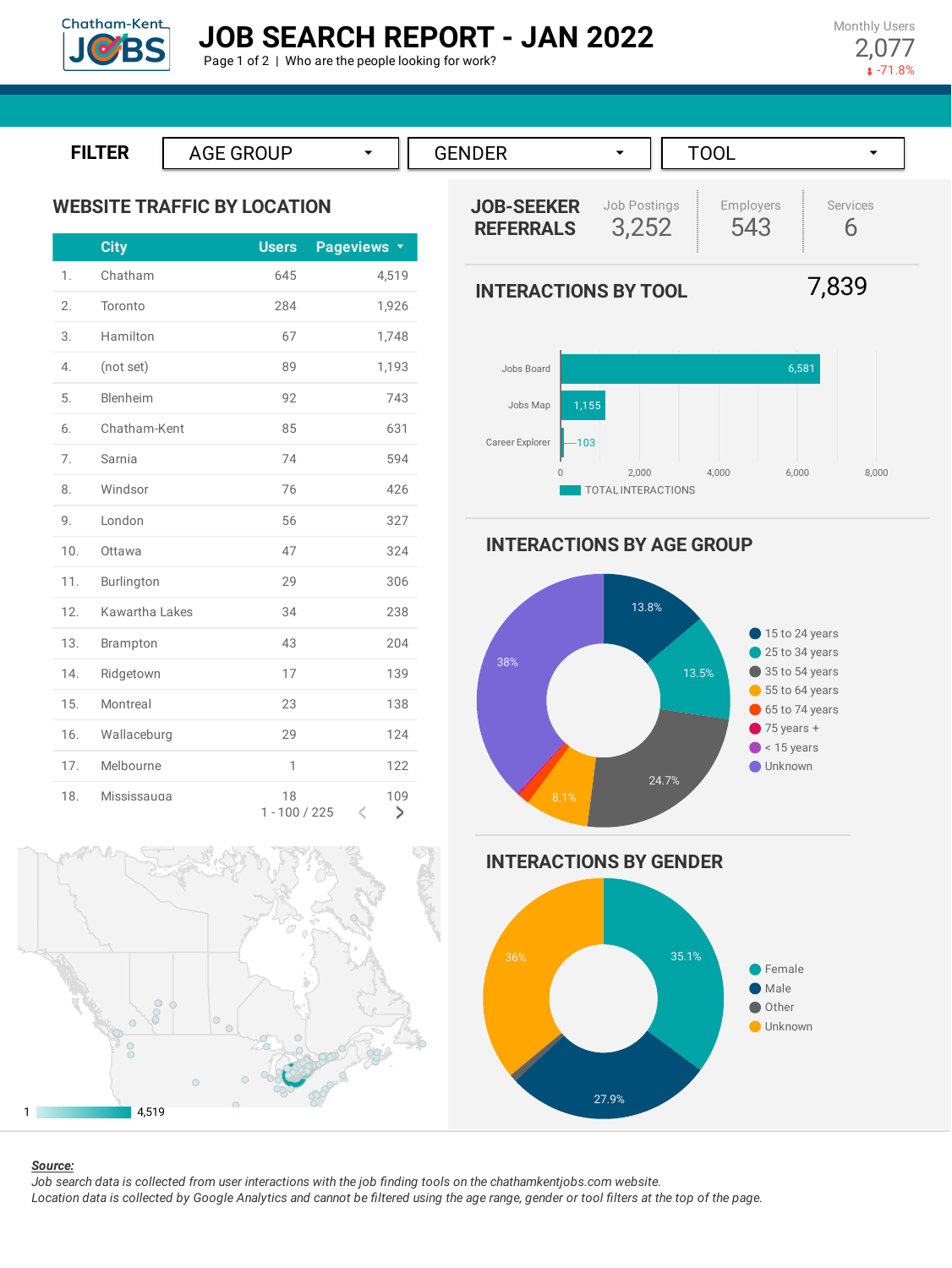

Monthly Users 2,077  $-71.8%$ 



# **WEBSITE TRAFFIC BY LOCATION**

|                  | <b>City</b>    | <b>Users</b>          | Pageviews <b>v</b> |
|------------------|----------------|-----------------------|--------------------|
| 1.               | Chatham        | 645                   | 4,519              |
| 2.               | Toronto        | 284                   | 1,926              |
| 3.               | Hamilton       | 67                    | 1,748              |
| $\overline{4}$ . | (not set)      | 89                    | 1,193              |
| 5.               | Blenheim       | 92                    | 743                |
| 6.               | Chatham-Kent   | 85                    | 631                |
| 7.               | Sarnia         | 74                    | 594                |
| 8.               | Windsor        | 76                    | 426                |
| 9.               | London         | 56                    | 327                |
| 10.              | Ottawa         | 47                    | 324                |
| 11.              | Burlington     | 29                    | 306                |
| 12.              | Kawartha Lakes | 34                    | 238                |
| 13.              | Brampton       | 43                    | 204                |
| 14.              | Ridgetown      | 17                    | 139                |
| 15.              | Montreal       | 23                    | 138                |
| 16.              | Wallaceburg    | 29                    | 124                |
| 17.              | Melbourne      | 1                     | 122                |
| 18.              | Mississauga    | 18<br>$1 - 100 / 225$ | 109<br>K<br>>      |





# **INTERACTIONS BY AGE GROUP**







1 4,519

#### *Source:*

Job search data is collected from user interactions with the job finding tools on the chathamkentjobs.com website. Location data is collected by Google Analytics and cannot be filtered using the age range, gender or tool filters at the top of the page.